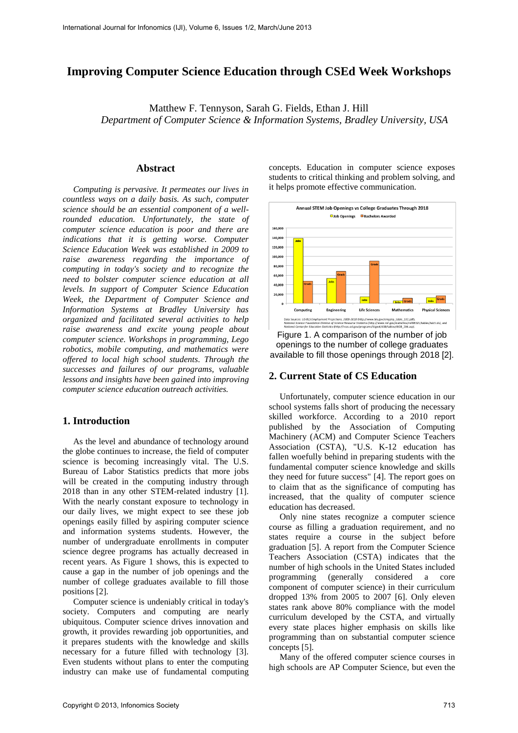# **Improving Computer Science Education through CSEd Week Workshops**

Matthew F. Tennyson, Sarah G. Fields, Ethan J. Hill *Department of Computer Science & Information Systems, Bradley University, USA* 

#### **Abstract**

*Computing is pervasive. It permeates our lives in countless ways on a daily basis. As such, computer science should be an essential component of a wellrounded education. Unfortunately, the state of computer science education is poor and there are indications that it is getting worse. Computer Science Education Week was established in 2009 to raise awareness regarding the importance of computing in today's society and to recognize the need to bolster computer science education at all levels. In support of Computer Science Education Week, the Department of Computer Science and Information Systems at Bradley University has organized and facilitated several activities to help raise awareness and excite young people about computer science. Workshops in programming, Lego robotics, mobile computing, and mathematics were offered to local high school students. Through the successes and failures of our programs, valuable lessons and insights have been gained into improving computer science education outreach activities.* 

## **1. Introduction**

As the level and abundance of technology around the globe continues to increase, the field of computer science is becoming increasingly vital. The U.S. Bureau of Labor Statistics predicts that more jobs will be created in the computing industry through 2018 than in any other STEM-related industry [1]. With the nearly constant exposure to technology in our daily lives, we might expect to see these job openings easily filled by aspiring computer science and information systems students. However, the number of undergraduate enrollments in computer science degree programs has actually decreased in recent years. As Figure 1 shows, this is expected to cause a gap in the number of job openings and the number of college graduates available to fill those positions [2].

Computer science is undeniably critical in today's society. Computers and computing are nearly ubiquitous. Computer science drives innovation and growth, it provides rewarding job opportunities, and it prepares students with the knowledge and skills necessary for a future filled with technology [3]. Even students without plans to enter the computing industry can make use of fundamental computing concepts. Education in computer science exposes students to critical thinking and problem solving, and it helps promote effective communication.



Figure 1. A comparison of the number of job openings to the number of college graduates available to fill those openings through 2018 [2].

## **2. Current State of CS Education**

Unfortunately, computer science education in our school systems falls short of producing the necessary skilled workforce. According to a 2010 report published by the Association of Computing Machinery (ACM) and Computer Science Teachers Association (CSTA), "U.S. K-12 education has fallen woefully behind in preparing students with the fundamental computer science knowledge and skills they need for future success" [4]. The report goes on to claim that as the significance of computing has increased, that the quality of computer science education has decreased.

Only nine states recognize a computer science course as filling a graduation requirement, and no states require a course in the subject before graduation [5]. A report from the Computer Science Teachers Association (CSTA) indicates that the number of high schools in the United States included programming (generally considered a core component of computer science) in their curriculum dropped 13% from 2005 to 2007 [6]. Only eleven states rank above 80% compliance with the model curriculum developed by the CSTA, and virtually every state places higher emphasis on skills like programming than on substantial computer science concepts [5].

Many of the offered computer science courses in high schools are AP Computer Science, but even the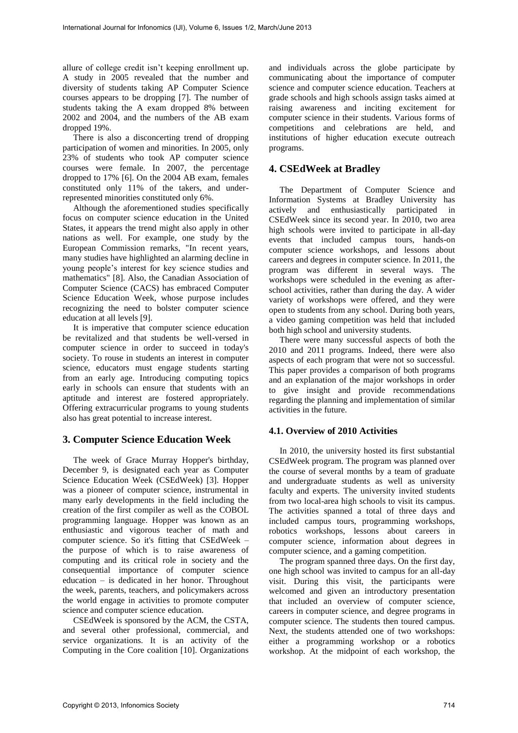allure of college credit isn't keeping enrollment up. A study in 2005 revealed that the number and diversity of students taking AP Computer Science courses appears to be dropping [7]. The number of students taking the A exam dropped 8% between 2002 and 2004, and the numbers of the AB exam dropped 19%.

There is also a disconcerting trend of dropping participation of women and minorities. In 2005, only 23% of students who took AP computer science courses were female. In 2007, the percentage dropped to 17% [6]. On the 2004 AB exam, females constituted only 11% of the takers, and underrepresented minorities constituted only 6%.

Although the aforementioned studies specifically focus on computer science education in the United States, it appears the trend might also apply in other nations as well. For example, one study by the European Commission remarks, "In recent years, many studies have highlighted an alarming decline in young people's interest for key science studies and mathematics" [8]. Also, the Canadian Association of Computer Science (CACS) has embraced Computer Science Education Week, whose purpose includes recognizing the need to bolster computer science education at all levels [9].

It is imperative that computer science education be revitalized and that students be well-versed in computer science in order to succeed in today's society. To rouse in students an interest in computer science, educators must engage students starting from an early age. Introducing computing topics early in schools can ensure that students with an aptitude and interest are fostered appropriately. Offering extracurricular programs to young students also has great potential to increase interest.

## **3. Computer Science Education Week**

The week of Grace Murray Hopper's birthday, December 9, is designated each year as Computer Science Education Week (CSEdWeek) [3]. Hopper was a pioneer of computer science, instrumental in many early developments in the field including the creation of the first compiler as well as the COBOL programming language. Hopper was known as an enthusiastic and vigorous teacher of math and computer science. So it's fitting that CSEdWeek – the purpose of which is to raise awareness of computing and its critical role in society and the consequential importance of computer science education – is dedicated in her honor. Throughout the week, parents, teachers, and policymakers across the world engage in activities to promote computer science and computer science education.

CSEdWeek is sponsored by the ACM, the CSTA, and several other professional, commercial, and service organizations. It is an activity of the Computing in the Core coalition [10]. Organizations

and individuals across the globe participate by communicating about the importance of computer science and computer science education. Teachers at grade schools and high schools assign tasks aimed at raising awareness and inciting excitement for computer science in their students. Various forms of competitions and celebrations are held, and institutions of higher education execute outreach programs.

## **4. CSEdWeek at Bradley**

The Department of Computer Science and Information Systems at Bradley University has actively and enthusiastically participated in CSEdWeek since its second year. In 2010, two area high schools were invited to participate in all-day events that included campus tours, hands-on computer science workshops, and lessons about careers and degrees in computer science. In 2011, the program was different in several ways. The workshops were scheduled in the evening as afterschool activities, rather than during the day. A wider variety of workshops were offered, and they were open to students from any school. During both years, a video gaming competition was held that included both high school and university students.

There were many successful aspects of both the 2010 and 2011 programs. Indeed, there were also aspects of each program that were not so successful. This paper provides a comparison of both programs and an explanation of the major workshops in order to give insight and provide recommendations regarding the planning and implementation of similar activities in the future.

#### **4.1. Overview of 2010 Activities**

In 2010, the university hosted its first substantial CSEdWeek program. The program was planned over the course of several months by a team of graduate and undergraduate students as well as university faculty and experts. The university invited students from two local-area high schools to visit its campus. The activities spanned a total of three days and included campus tours, programming workshops, robotics workshops, lessons about careers in computer science, information about degrees in computer science, and a gaming competition.

The program spanned three days. On the first day, one high school was invited to campus for an all-day visit. During this visit, the participants were welcomed and given an introductory presentation that included an overview of computer science, careers in computer science, and degree programs in computer science. The students then toured campus. Next, the students attended one of two workshops: either a programming workshop or a robotics workshop. At the midpoint of each workshop, the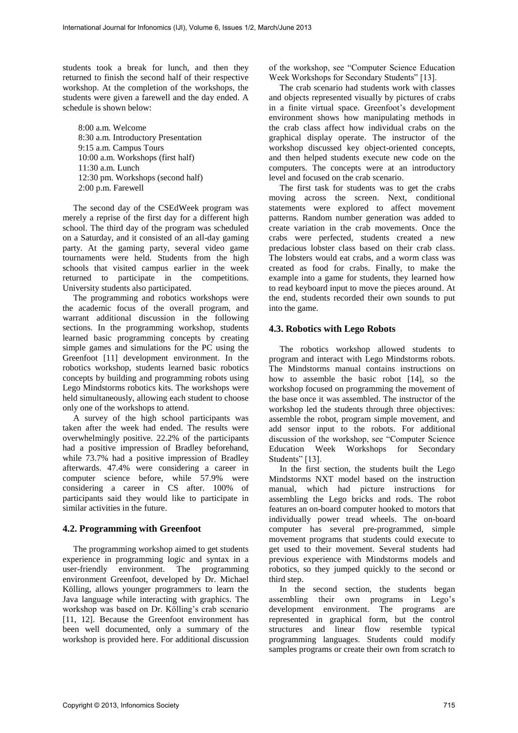students took a break for lunch, and then they returned to finish the second half of their respective workshop. At the completion of the workshops, the students were given a farewell and the day ended. A schedule is shown below:

8:00 a.m. Welcome 8:30 a.m. Introductory Presentation 9:15 a.m. Campus Tours 10:00 a.m. Workshops (first half) 11:30 a.m. Lunch 12:30 pm. Workshops (second half) 2:00 p.m. Farewell

The second day of the CSEdWeek program was merely a reprise of the first day for a different high school. The third day of the program was scheduled on a Saturday, and it consisted of an all-day gaming party. At the gaming party, several video game tournaments were held. Students from the high schools that visited campus earlier in the week returned to participate in the competitions. University students also participated.

The programming and robotics workshops were the academic focus of the overall program, and warrant additional discussion in the following sections. In the programming workshop, students learned basic programming concepts by creating simple games and simulations for the PC using the Greenfoot [11] development environment. In the robotics workshop, students learned basic robotics concepts by building and programming robots using Lego Mindstorms robotics kits. The workshops were held simultaneously, allowing each student to choose only one of the workshops to attend.

A survey of the high school participants was taken after the week had ended. The results were overwhelmingly positive. 22.2% of the participants had a positive impression of Bradley beforehand, while 73.7% had a positive impression of Bradley afterwards. 47.4% were considering a career in computer science before, while 57.9% were considering a career in CS after. 100% of participants said they would like to participate in similar activities in the future.

## **4.2. Programming with Greenfoot**

The programming workshop aimed to get students experience in programming logic and syntax in a user-friendly environment. The programming environment Greenfoot, developed by Dr. Michael Kölling, allows younger programmers to learn the Java language while interacting with graphics. The workshop was based on Dr. Kölling's crab scenario [11, 12]. Because the Greenfoot environment has been well documented, only a summary of the workshop is provided here. For additional discussion of the workshop, see "Computer Science Education Week Workshops for Secondary Students" [13].

The crab scenario had students work with classes and objects represented visually by pictures of crabs in a finite virtual space. Greenfoot's development environment shows how manipulating methods in the crab class affect how individual crabs on the graphical display operate. The instructor of the workshop discussed key object-oriented concepts, and then helped students execute new code on the computers. The concepts were at an introductory level and focused on the crab scenario.

The first task for students was to get the crabs moving across the screen. Next, conditional statements were explored to affect movement patterns. Random number generation was added to create variation in the crab movements. Once the crabs were perfected, students created a new predacious lobster class based on their crab class. The lobsters would eat crabs, and a worm class was created as food for crabs. Finally, to make the example into a game for students, they learned how to read keyboard input to move the pieces around. At the end, students recorded their own sounds to put into the game.

## **4.3. Robotics with Lego Robots**

The robotics workshop allowed students to program and interact with Lego Mindstorms robots. The Mindstorms manual contains instructions on how to assemble the basic robot [14], so the workshop focused on programming the movement of the base once it was assembled. The instructor of the workshop led the students through three objectives: assemble the robot, program simple movement, and add sensor input to the robots. For additional discussion of the workshop, see "Computer Science Education Week Workshops for Secondary Students" [13].

In the first section, the students built the Lego Mindstorms NXT model based on the instruction manual, which had picture instructions for assembling the Lego bricks and rods. The robot features an on-board computer hooked to motors that individually power tread wheels. The on-board computer has several pre-programmed, simple movement programs that students could execute to get used to their movement. Several students had previous experience with Mindstorms models and robotics, so they jumped quickly to the second or third step.

In the second section, the students began assembling their own programs in Lego's development environment. The programs are represented in graphical form, but the control structures and linear flow resemble typical programming languages. Students could modify samples programs or create their own from scratch to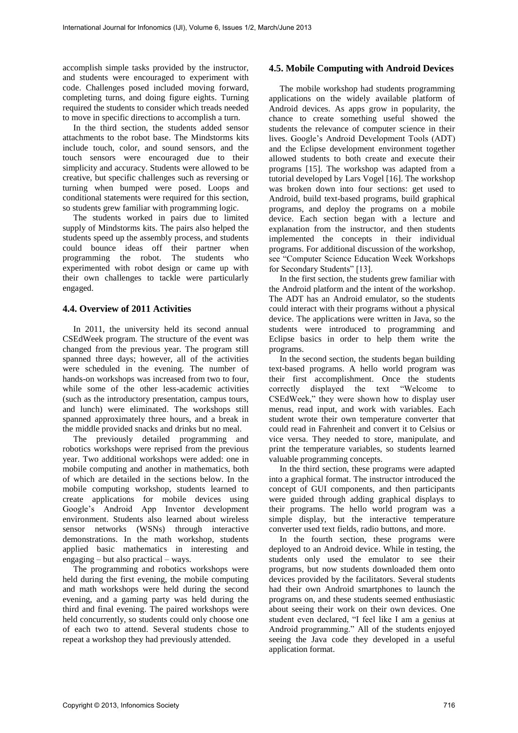accomplish simple tasks provided by the instructor, and students were encouraged to experiment with code. Challenges posed included moving forward, completing turns, and doing figure eights. Turning required the students to consider which treads needed to move in specific directions to accomplish a turn.

In the third section, the students added sensor attachments to the robot base. The Mindstorms kits include touch, color, and sound sensors, and the touch sensors were encouraged due to their simplicity and accuracy. Students were allowed to be creative, but specific challenges such as reversing or turning when bumped were posed. Loops and conditional statements were required for this section, so students grew familiar with programming logic.

The students worked in pairs due to limited supply of Mindstorms kits. The pairs also helped the students speed up the assembly process, and students could bounce ideas off their partner when programming the robot. The students who experimented with robot design or came up with their own challenges to tackle were particularly engaged.

#### **4.4. Overview of 2011 Activities**

In 2011, the university held its second annual CSEdWeek program. The structure of the event was changed from the previous year. The program still spanned three days; however, all of the activities were scheduled in the evening. The number of hands-on workshops was increased from two to four, while some of the other less-academic activities (such as the introductory presentation, campus tours, and lunch) were eliminated. The workshops still spanned approximately three hours, and a break in the middle provided snacks and drinks but no meal.

The previously detailed programming and robotics workshops were reprised from the previous year. Two additional workshops were added: one in mobile computing and another in mathematics, both of which are detailed in the sections below. In the mobile computing workshop, students learned to create applications for mobile devices using Google's Android App Inventor development environment. Students also learned about wireless sensor networks (WSNs) through interactive demonstrations. In the math workshop, students applied basic mathematics in interesting and engaging – but also practical – ways.

The programming and robotics workshops were held during the first evening, the mobile computing and math workshops were held during the second evening, and a gaming party was held during the third and final evening. The paired workshops were held concurrently, so students could only choose one of each two to attend. Several students chose to repeat a workshop they had previously attended.

#### **4.5. Mobile Computing with Android Devices**

The mobile workshop had students programming applications on the widely available platform of Android devices. As apps grow in popularity, the chance to create something useful showed the students the relevance of computer science in their lives. Google's Android Development Tools (ADT) and the Eclipse development environment together allowed students to both create and execute their programs [15]. The workshop was adapted from a tutorial developed by Lars Vogel [16]. The workshop was broken down into four sections: get used to Android, build text-based programs, build graphical programs, and deploy the programs on a mobile device. Each section began with a lecture and explanation from the instructor, and then students implemented the concepts in their individual programs. For additional discussion of the workshop, see "Computer Science Education Week Workshops for Secondary Students" [13].

In the first section, the students grew familiar with the Android platform and the intent of the workshop. The ADT has an Android emulator, so the students could interact with their programs without a physical device. The applications were written in Java, so the students were introduced to programming and Eclipse basics in order to help them write the programs.

In the second section, the students began building text-based programs. A hello world program was their first accomplishment. Once the students correctly displayed the text "Welcome to CSEdWeek," they were shown how to display user menus, read input, and work with variables. Each student wrote their own temperature converter that could read in Fahrenheit and convert it to Celsius or vice versa. They needed to store, manipulate, and print the temperature variables, so students learned valuable programming concepts.

In the third section, these programs were adapted into a graphical format. The instructor introduced the concept of GUI components, and then participants were guided through adding graphical displays to their programs. The hello world program was a simple display, but the interactive temperature converter used text fields, radio buttons, and more.

In the fourth section, these programs were deployed to an Android device. While in testing, the students only used the emulator to see their programs, but now students downloaded them onto devices provided by the facilitators. Several students had their own Android smartphones to launch the programs on, and these students seemed enthusiastic about seeing their work on their own devices. One student even declared, "I feel like I am a genius at Android programming." All of the students enjoyed seeing the Java code they developed in a useful application format.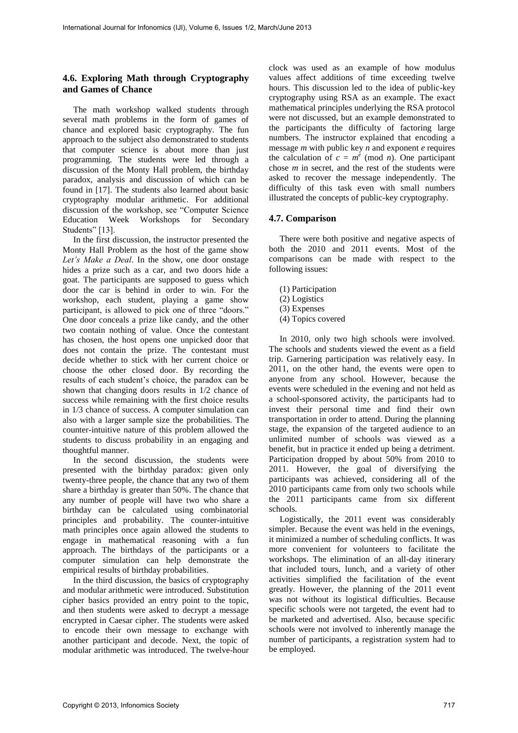## **4.6. Exploring Math through Cryptography and Games of Chance**

The math workshop walked students through several math problems in the form of games of chance and explored basic cryptography. The fun approach to the subject also demonstrated to students that computer science is about more than just programming. The students were led through a discussion of the Monty Hall problem, the birthday paradox, analysis and discussion of which can be found in [17]. The students also learned about basic cryptography modular arithmetic. For additional discussion of the workshop, see "Computer Science Education Week Workshops for Secondary Students" [13].

In the first discussion, the instructor presented the Monty Hall Problem as the host of the game show *Let's Make a Deal*. In the show, one door onstage hides a prize such as a car, and two doors hide a goat. The participants are supposed to guess which door the car is behind in order to win. For the workshop, each student, playing a game show participant, is allowed to pick one of three "doors." One door conceals a prize like candy, and the other two contain nothing of value. Once the contestant has chosen, the host opens one unpicked door that does not contain the prize. The contestant must decide whether to stick with her current choice or choose the other closed door. By recording the results of each student's choice, the paradox can be shown that changing doors results in 1/2 chance of success while remaining with the first choice results in 1/3 chance of success. A computer simulation can also with a larger sample size the probabilities. The counter-intuitive nature of this problem allowed the students to discuss probability in an engaging and thoughtful manner.

In the second discussion, the students were presented with the birthday paradox: given only twenty-three people, the chance that any two of them share a birthday is greater than 50%. The chance that any number of people will have two who share a birthday can be calculated using combinatorial principles and probability. The counter-intuitive math principles once again allowed the students to engage in mathematical reasoning with a fun approach. The birthdays of the participants or a computer simulation can help demonstrate the empirical results of birthday probabilities.

In the third discussion, the basics of cryptography and modular arithmetic were introduced. Substitution cipher basics provided an entry point to the topic, and then students were asked to decrypt a message encrypted in Caesar cipher. The students were asked to encode their own message to exchange with another participant and decode. Next, the topic of modular arithmetic was introduced. The twelve-hour

clock was used as an example of how modulus values affect additions of time exceeding twelve hours. This discussion led to the idea of public-key cryptography using RSA as an example. The exact mathematical principles underlying the RSA protocol were not discussed, but an example demonstrated to the participants the difficulty of factoring large numbers. The instructor explained that encoding a message *m* with public key *n* and exponent *e* requires the calculation of  $c = m^e \pmod{n}$ . One participant chose *m* in secret, and the rest of the students were asked to recover the message independently. The difficulty of this task even with small numbers illustrated the concepts of public-key cryptography.

## **4.7. Comparison**

There were both positive and negative aspects of both the 2010 and 2011 events. Most of the comparisons can be made with respect to the following issues:

- (1) Participation
- (2) Logistics
- (3) Expenses
- (4) Topics covered

In 2010, only two high schools were involved. The schools and students viewed the event as a field trip. Garnering participation was relatively easy. In 2011, on the other hand, the events were open to anyone from any school. However, because the events were scheduled in the evening and not held as a school-sponsored activity, the participants had to invest their personal time and find their own transportation in order to attend. During the planning stage, the expansion of the targeted audience to an unlimited number of schools was viewed as a benefit, but in practice it ended up being a detriment. Participation dropped by about 50% from 2010 to 2011. However, the goal of diversifying the participants was achieved, considering all of the 2010 participants came from only two schools while the 2011 participants came from six different schools.

Logistically, the 2011 event was considerably simpler. Because the event was held in the evenings, it minimized a number of scheduling conflicts. It was more convenient for volunteers to facilitate the workshops. The elimination of an all-day itinerary that included tours, lunch, and a variety of other activities simplified the facilitation of the event greatly. However, the planning of the 2011 event was not without its logistical difficulties. Because specific schools were not targeted, the event had to be marketed and advertised. Also, because specific schools were not involved to inherently manage the number of participants, a registration system had to be employed.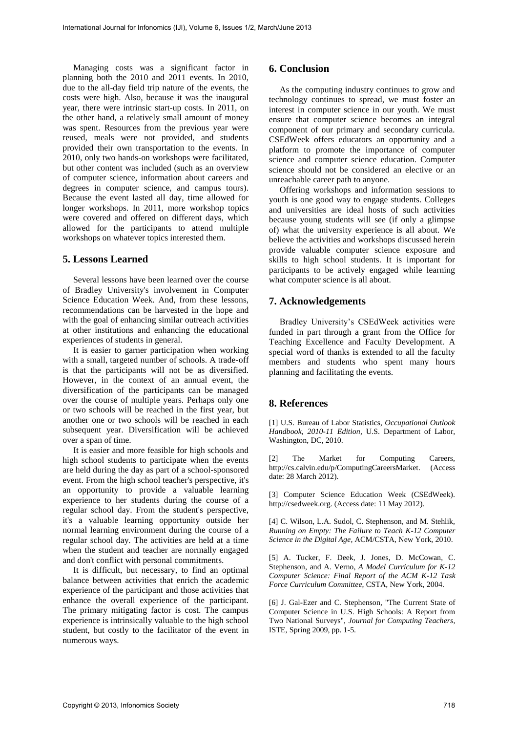Managing costs was a significant factor in planning both the 2010 and 2011 events. In 2010, due to the all-day field trip nature of the events, the costs were high. Also, because it was the inaugural year, there were intrinsic start-up costs. In 2011, on the other hand, a relatively small amount of money was spent. Resources from the previous year were reused, meals were not provided, and students provided their own transportation to the events. In 2010, only two hands-on workshops were facilitated, but other content was included (such as an overview of computer science, information about careers and degrees in computer science, and campus tours). Because the event lasted all day, time allowed for longer workshops. In 2011, more workshop topics were covered and offered on different days, which allowed for the participants to attend multiple workshops on whatever topics interested them.

#### **5. Lessons Learned**

Several lessons have been learned over the course of Bradley University's involvement in Computer Science Education Week. And, from these lessons, recommendations can be harvested in the hope and with the goal of enhancing similar outreach activities at other institutions and enhancing the educational experiences of students in general.

It is easier to garner participation when working with a small, targeted number of schools. A trade-off is that the participants will not be as diversified. However, in the context of an annual event, the diversification of the participants can be managed over the course of multiple years. Perhaps only one or two schools will be reached in the first year, but another one or two schools will be reached in each subsequent year. Diversification will be achieved over a span of time.

It is easier and more feasible for high schools and high school students to participate when the events are held during the day as part of a school-sponsored event. From the high school teacher's perspective, it's an opportunity to provide a valuable learning experience to her students during the course of a regular school day. From the student's perspective, it's a valuable learning opportunity outside her normal learning environment during the course of a regular school day. The activities are held at a time when the student and teacher are normally engaged and don't conflict with personal commitments.

It is difficult, but necessary, to find an optimal balance between activities that enrich the academic experience of the participant and those activities that enhance the overall experience of the participant. The primary mitigating factor is cost. The campus experience is intrinsically valuable to the high school student, but costly to the facilitator of the event in numerous ways.

# **6. Conclusion**

As the computing industry continues to grow and technology continues to spread, we must foster an interest in computer science in our youth. We must ensure that computer science becomes an integral component of our primary and secondary curricula. CSEdWeek offers educators an opportunity and a platform to promote the importance of computer science and computer science education. Computer science should not be considered an elective or an unreachable career path to anyone.

Offering workshops and information sessions to youth is one good way to engage students. Colleges and universities are ideal hosts of such activities because young students will see (if only a glimpse of) what the university experience is all about. We believe the activities and workshops discussed herein provide valuable computer science exposure and skills to high school students. It is important for participants to be actively engaged while learning what computer science is all about.

## **7. Acknowledgements**

Bradley University's CSEdWeek activities were funded in part through a grant from the Office for Teaching Excellence and Faculty Development. A special word of thanks is extended to all the faculty members and students who spent many hours planning and facilitating the events.

#### **8. References**

[1] U.S. Bureau of Labor Statistics, *Occupational Outlook Handbook*, *2010-11 Edition*, U.S. Department of Labor, Washington, DC, 2010.

[2] The Market for Computing Careers, http://cs.calvin.edu/p/ComputingCareersMarket. (Access date: 28 March 2012).

[3] Computer Science Education Week (CSEdWeek). http://csedweek.org. (Access date: 11 May 2012).

[4] C. Wilson, L.A. Sudol, C. Stephenson, and M. Stehlik, *Running on Empty: The Failure to Teach K-12 Computer Science in the Digital Age*, ACM/CSTA, New York, 2010.

[5] A. Tucker, F. Deek, J. Jones, D. McCowan, C. Stephenson, and A. Verno, *A Model Curriculum for K-12 Computer Science: Final Report of the ACM K-12 Task Force Curriculum Committee*, CSTA, New York, 2004.

[6] J. Gal-Ezer and C. Stephenson, "The Current State of Computer Science in U.S. High Schools: A Report from Two National Surveys", *Journal for Computing Teachers*, ISTE, Spring 2009, pp. 1-5.